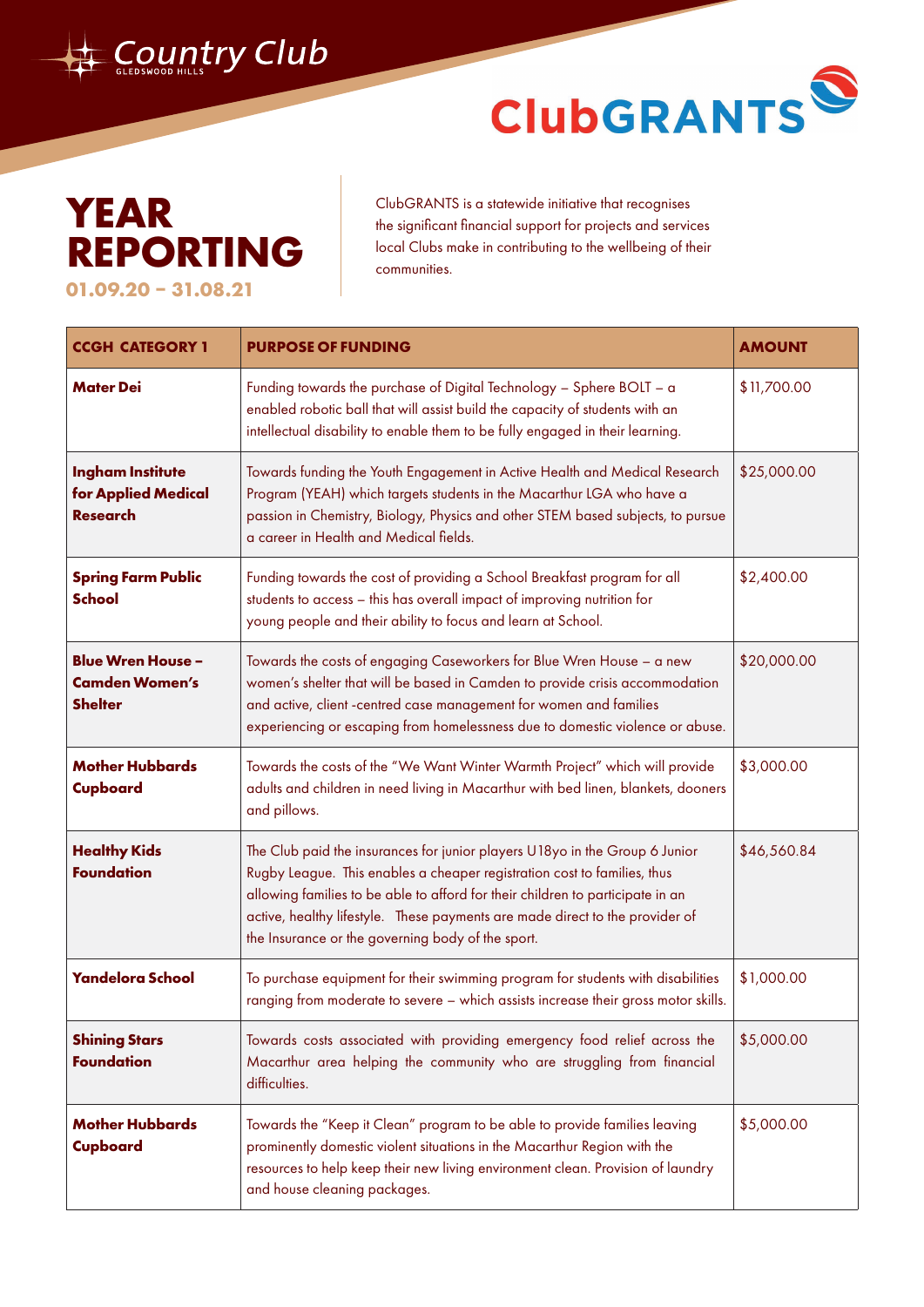

## ClubGRANTS<sup>®</sup>

## **YEAR REPORTING 01.09.20 – 31.08.21**

ClubGRANTS is a statewide initiative that recognises the significant financial support for projects and services local Clubs make in contributing to the wellbeing of their communities.

| <b>CCGH CATEGORY 1</b>                                              | <b>PURPOSE OF FUNDING</b>                                                                                                                                                                                                                                                                                                                                                      | <b>AMOUNT</b> |
|---------------------------------------------------------------------|--------------------------------------------------------------------------------------------------------------------------------------------------------------------------------------------------------------------------------------------------------------------------------------------------------------------------------------------------------------------------------|---------------|
| <b>Mater Dei</b>                                                    | Funding towards the purchase of Digital Technology - Sphere BOLT - a<br>enabled robotic ball that will assist build the capacity of students with an<br>intellectual disability to enable them to be fully engaged in their learning.                                                                                                                                          | \$11,700.00   |
| <b>Ingham Institute</b><br>for Applied Medical<br><b>Research</b>   | Towards funding the Youth Engagement in Active Health and Medical Research<br>Program (YEAH) which targets students in the Macarthur LGA who have a<br>passion in Chemistry, Biology, Physics and other STEM based subjects, to pursue<br>a career in Health and Medical fields.                                                                                               | \$25,000.00   |
| <b>Spring Farm Public</b><br><b>School</b>                          | Funding towards the cost of providing a School Breakfast program for all<br>students to access - this has overall impact of improving nutrition for<br>young people and their ability to focus and learn at School.                                                                                                                                                            | \$2,400.00    |
| <b>Blue Wren House -</b><br><b>Camden Women's</b><br><b>Shelter</b> | Towards the costs of engaging Caseworkers for Blue Wren House - a new<br>women's shelter that will be based in Camden to provide crisis accommodation<br>and active, client -centred case management for women and families<br>experiencing or escaping from homelessness due to domestic violence or abuse.                                                                   | \$20,000.00   |
| <b>Mother Hubbards</b><br>Cupboard                                  | Towards the costs of the "We Want Winter Warmth Project" which will provide<br>adults and children in need living in Macarthur with bed linen, blankets, dooners<br>and pillows.                                                                                                                                                                                               | \$3,000.00    |
| <b>Healthy Kids</b><br><b>Foundation</b>                            | The Club paid the insurances for junior players U18yo in the Group 6 Junior<br>Rugby League. This enables a cheaper registration cost to families, thus<br>allowing families to be able to afford for their children to participate in an<br>active, healthy lifestyle. These payments are made direct to the provider of<br>the Insurance or the governing body of the sport. | \$46,560.84   |
| <b>Yandelora School</b>                                             | To purchase equipment for their swimming program for students with disabilities<br>ranging from moderate to severe - which assists increase their gross motor skills.                                                                                                                                                                                                          | \$1,000.00    |
| <b>Shining Stars</b><br><b>Foundation</b>                           | Towards costs associated with providing emergency food relief across the<br>Macarthur area helping the community who are struggling from financial<br>difficulties.                                                                                                                                                                                                            | \$5,000.00    |
| <b>Mother Hubbards</b><br>Cupboard                                  | Towards the "Keep it Clean" program to be able to provide families leaving<br>prominently domestic violent situations in the Macarthur Region with the<br>resources to help keep their new living environment clean. Provision of laundry<br>and house cleaning packages.                                                                                                      | \$5,000.00    |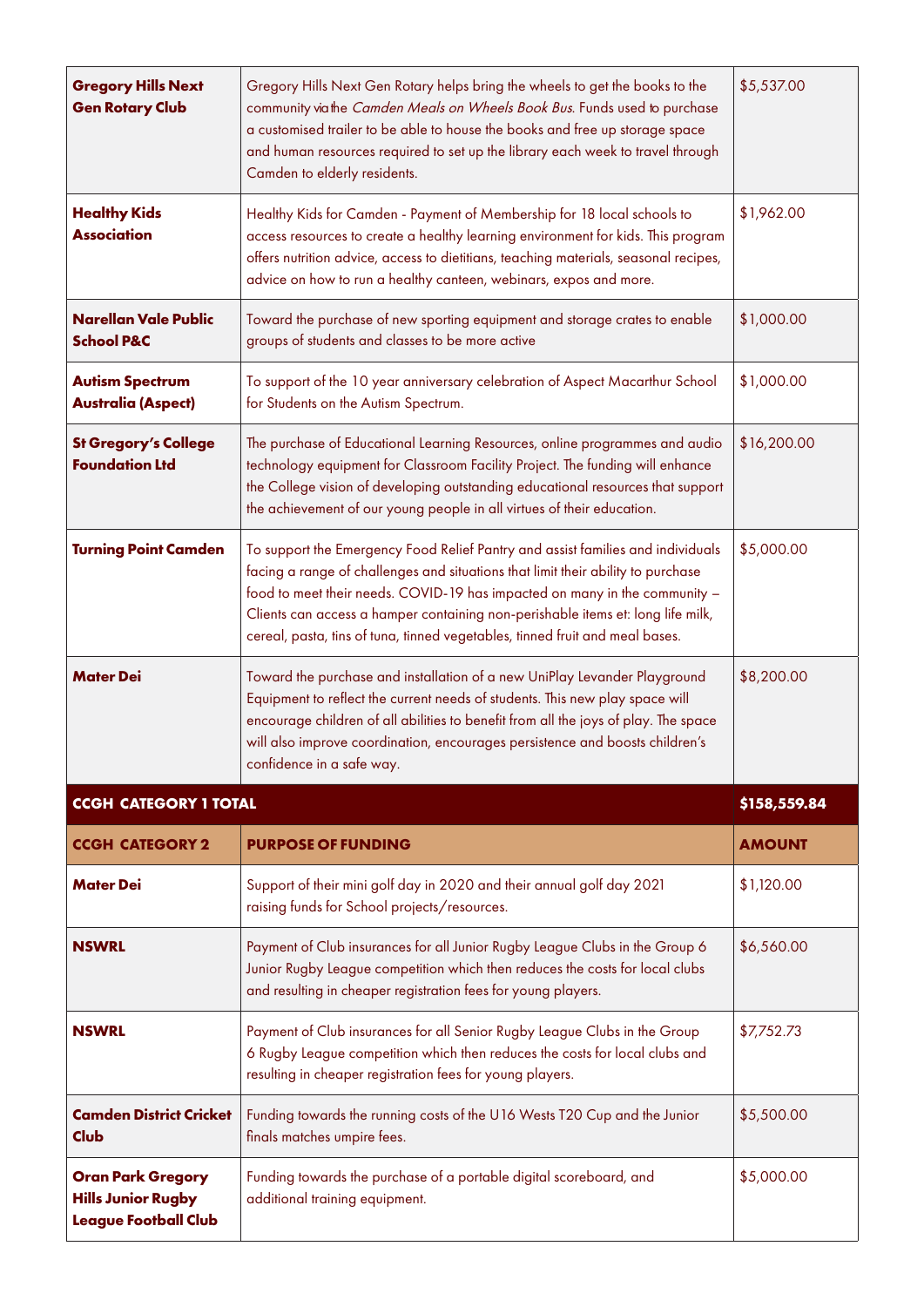| <b>Gregory Hills Next</b><br><b>Gen Rotary Club</b>  | Gregory Hills Next Gen Rotary helps bring the wheels to get the books to the<br>community viathe Camden Meals on Wheels Book Bus. Funds used to purchase<br>a customised trailer to be able to house the books and free up storage space<br>and human resources required to set up the library each week to travel through<br>Camden to elderly residents.                                                           | \$5,537.00    |
|------------------------------------------------------|----------------------------------------------------------------------------------------------------------------------------------------------------------------------------------------------------------------------------------------------------------------------------------------------------------------------------------------------------------------------------------------------------------------------|---------------|
| <b>Healthy Kids</b><br><b>Association</b>            | Healthy Kids for Camden - Payment of Membership for 18 local schools to<br>access resources to create a healthy learning environment for kids. This program<br>offers nutrition advice, access to dietitians, teaching materials, seasonal recipes,<br>advice on how to run a healthy canteen, webinars, expos and more.                                                                                             | \$1,962.00    |
| <b>Narellan Vale Public</b><br><b>School P&amp;C</b> | Toward the purchase of new sporting equipment and storage crates to enable<br>groups of students and classes to be more active                                                                                                                                                                                                                                                                                       | \$1,000.00    |
| <b>Autism Spectrum</b><br><b>Australia (Aspect)</b>  | To support of the 10 year anniversary celebration of Aspect Macarthur School<br>for Students on the Autism Spectrum.                                                                                                                                                                                                                                                                                                 | \$1,000.00    |
| <b>St Gregory's College</b><br><b>Foundation Ltd</b> | The purchase of Educational Learning Resources, online programmes and audio<br>technology equipment for Classroom Facility Project. The funding will enhance<br>the College vision of developing outstanding educational resources that support<br>the achievement of our young people in all virtues of their education.                                                                                            | \$16,200.00   |
| <b>Turning Point Camden</b>                          | To support the Emergency Food Relief Pantry and assist families and individuals<br>facing a range of challenges and situations that limit their ability to purchase<br>food to meet their needs. COVID-19 has impacted on many in the community -<br>Clients can access a hamper containing non-perishable items et: long life milk,<br>cereal, pasta, tins of tuna, tinned vegetables, tinned fruit and meal bases. | \$5,000.00    |
| <b>Mater Dei</b>                                     | Toward the purchase and installation of a new UniPlay Levander Playground<br>Equipment to reflect the current needs of students. This new play space will<br>encourage children of all abilities to benefit from all the joys of play. The space<br>will also improve coordination, encourages persistence and boosts children's<br>confidence in a safe way.                                                        | \$8,200.00    |
| <b>CCGH CATEGORY 1 TOTAL</b>                         |                                                                                                                                                                                                                                                                                                                                                                                                                      | \$158,559.84  |
| <b>CCGH CATEGORY 2</b>                               | <b>PURPOSE OF FUNDING</b>                                                                                                                                                                                                                                                                                                                                                                                            | <b>AMOUNT</b> |
| <b>Mater Dei</b>                                     | Support of their mini golf day in 2020 and their annual golf day 2021<br>raising funds for School projects/resources.                                                                                                                                                                                                                                                                                                | \$1,120.00    |
| <b>NSWRL</b>                                         |                                                                                                                                                                                                                                                                                                                                                                                                                      |               |
|                                                      | Payment of Club insurances for all Junior Rugby League Clubs in the Group 6<br>Junior Rugby League competition which then reduces the costs for local clubs<br>and resulting in cheaper registration fees for young players.                                                                                                                                                                                         | \$6,560.00    |
| <b>NSWRL</b>                                         | Payment of Club insurances for all Senior Rugby League Clubs in the Group<br>6 Rugby League competition which then reduces the costs for local clubs and<br>resulting in cheaper registration fees for young players.                                                                                                                                                                                                | \$7,752.73    |
| <b>Camden District Cricket</b><br><b>Club</b>        | Funding towards the running costs of the U16 Wests T20 Cup and the Junior<br>finals matches umpire fees.                                                                                                                                                                                                                                                                                                             | \$5,500.00    |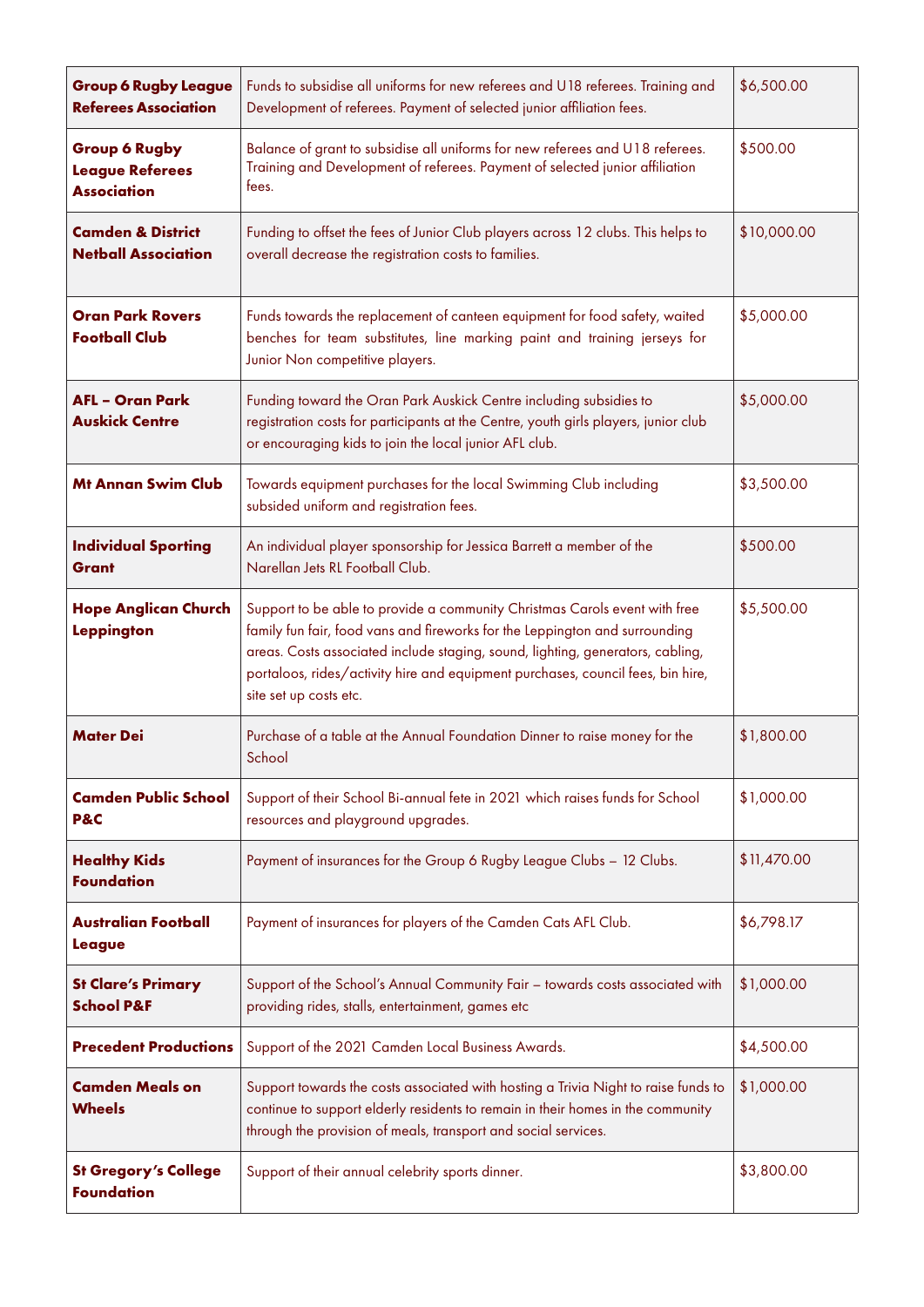| <b>Group 6 Rugby League</b><br><b>Referees Association</b>           | Funds to subsidise all uniforms for new referees and U18 referees. Training and<br>Development of referees. Payment of selected junior affiliation fees.                                                                                                                                                                                                 | \$6,500.00  |
|----------------------------------------------------------------------|----------------------------------------------------------------------------------------------------------------------------------------------------------------------------------------------------------------------------------------------------------------------------------------------------------------------------------------------------------|-------------|
| <b>Group 6 Rugby</b><br><b>League Referees</b><br><b>Association</b> | Balance of grant to subsidise all uniforms for new referees and U18 referees.<br>Training and Development of referees. Payment of selected junior affiliation<br>fees.                                                                                                                                                                                   | \$500.00    |
| <b>Camden &amp; District</b><br><b>Netball Association</b>           | Funding to offset the fees of Junior Club players across 12 clubs. This helps to<br>overall decrease the registration costs to families.                                                                                                                                                                                                                 | \$10,000.00 |
| <b>Oran Park Rovers</b><br><b>Football Club</b>                      | Funds towards the replacement of canteen equipment for food safety, waited<br>benches for team substitutes, line marking paint and training jerseys for<br>Junior Non competitive players.                                                                                                                                                               | \$5,000.00  |
| <b>AFL - Oran Park</b><br><b>Auskick Centre</b>                      | Funding toward the Oran Park Auskick Centre including subsidies to<br>registration costs for participants at the Centre, youth girls players, junior club<br>or encouraging kids to join the local junior AFL club.                                                                                                                                      | \$5,000.00  |
| <b>Mt Annan Swim Club</b>                                            | Towards equipment purchases for the local Swimming Club including<br>subsided uniform and registration fees.                                                                                                                                                                                                                                             | \$3,500.00  |
| <b>Individual Sporting</b><br><b>Grant</b>                           | An individual player sponsorship for Jessica Barrett a member of the<br>Narellan Jets RL Football Club.                                                                                                                                                                                                                                                  | \$500.00    |
| <b>Hope Anglican Church</b><br><b>Leppington</b>                     | Support to be able to provide a community Christmas Carols event with free<br>family fun fair, food vans and fireworks for the Leppington and surrounding<br>areas. Costs associated include staging, sound, lighting, generators, cabling,<br>portaloos, rides/activity hire and equipment purchases, council fees, bin hire,<br>site set up costs etc. | \$5,500.00  |
| <b>Mater Dei</b>                                                     | Purchase of a table at the Annual Foundation Dinner to raise money for the<br>School                                                                                                                                                                                                                                                                     | \$1,800.00  |
| <b>Camden Public School</b><br>P&C                                   | Support of their School Bi-annual fete in 2021 which raises funds for School<br>resources and playground upgrades.                                                                                                                                                                                                                                       | \$1,000.00  |
| <b>Healthy Kids</b><br><b>Foundation</b>                             | Payment of insurances for the Group 6 Rugby League Clubs - 12 Clubs.                                                                                                                                                                                                                                                                                     | \$11,470.00 |
| <b>Australian Football</b><br><b>League</b>                          | Payment of insurances for players of the Camden Cats AFL Club.                                                                                                                                                                                                                                                                                           | \$6,798.17  |
| <b>St Clare's Primary</b><br><b>School P&amp;F</b>                   | Support of the School's Annual Community Fair - towards costs associated with<br>providing rides, stalls, entertainment, games etc                                                                                                                                                                                                                       | \$1,000.00  |
| <b>Precedent Productions</b>                                         | Support of the 2021 Camden Local Business Awards.                                                                                                                                                                                                                                                                                                        | \$4,500.00  |
| <b>Camden Meals on</b><br><b>Wheels</b>                              | Support towards the costs associated with hosting a Trivia Night to raise funds to<br>continue to support elderly residents to remain in their homes in the community<br>through the provision of meals, transport and social services.                                                                                                                  | \$1,000.00  |
| <b>St Gregory's College</b><br><b>Foundation</b>                     | Support of their annual celebrity sports dinner.                                                                                                                                                                                                                                                                                                         | \$3,800.00  |